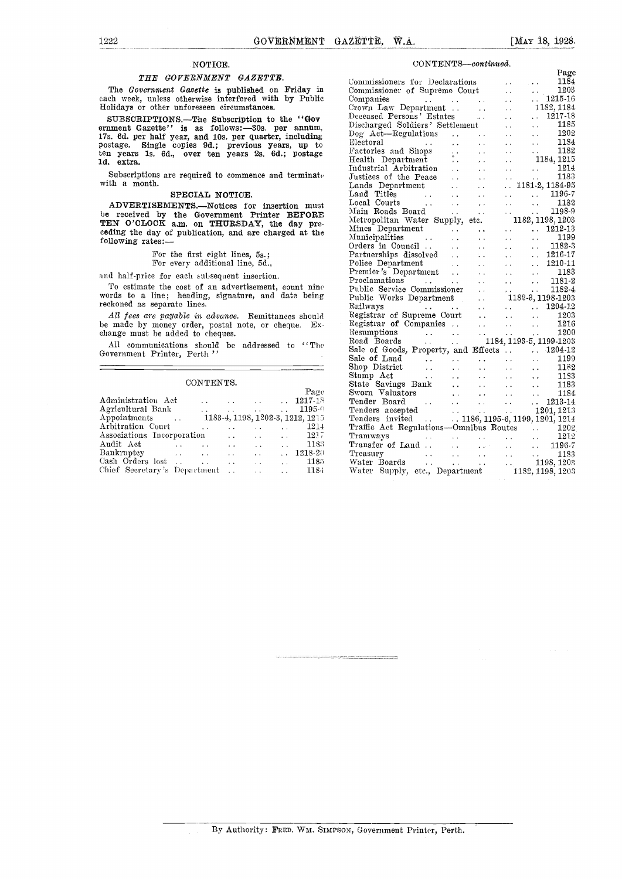#### NOTICE.

#### THE GOVERNMENT GAZETTE.

The Government Gazette is published on Friday in each week, unless otherwise interfered with by Public Holidays or other unforeseen circumstances.

SUBSCRIPTIONS.—The Subscription to the "Govern  $\frac{Decen}{Discen}$ ernment Gazette'' is as follows:-30s. per annum,  $\frac{\text{Disch}}{\text{Dog}}$ <br>17s. 6d. per half year, and 10s. per quarter, including  $\frac{\text{Dog}}{\text{Dog}}$ postage. Single copies 9d.; previous years, up to Elect<br>ten years 1s. 6d., over ten years 2s. 6d.; postage Factu ld. extra.

Subscriptions are required to commence and terminate with a month.

#### SPECIAL NOTICE.

ADVERTISEMENTS.--Notices for insertion must be received by the Government Printer BEFORE  $\frac{\text{Main} \cdot \text{R00}}{\text{Mathematic}}$ TEN O'CLOCK a.m. on THURSDAY, the day pre-<br>ceding the day of publication, and are charged at the  $\frac{\text{Milt}}{\text{Mm}}$ following rates:

### For the first eight lines, 5s.; For every additional line, 5d.,

and half-price for each subsequent insertion.

To estimate the cost of an advertisement, count nine words to a line; heading, signature, and date being reckoned as separate lines.

All fees are payable in advance. Remittances should be made by money order, postal note, or cheque. Exchange must he added to cheques.

All communications should be addressed to "The should"<br>Government Printer, Perth "Sal

#### CONTENTS.

|                            |                      |                                                                                                         | Page                        | $Sw$ o                                                                                                                                                                                                                                                |
|----------------------------|----------------------|---------------------------------------------------------------------------------------------------------|-----------------------------|-------------------------------------------------------------------------------------------------------------------------------------------------------------------------------------------------------------------------------------------------------|
|                            |                      |                                                                                                         |                             | Ten                                                                                                                                                                                                                                                   |
|                            |                      |                                                                                                         |                             | Ten                                                                                                                                                                                                                                                   |
|                            |                      |                                                                                                         |                             | Ten                                                                                                                                                                                                                                                   |
| $\ddot{\phantom{0}}$       |                      |                                                                                                         | 1214                        | Trai                                                                                                                                                                                                                                                  |
| Associations Incorporation |                      |                                                                                                         |                             | Tra                                                                                                                                                                                                                                                   |
| $\ddotsc$                  |                      |                                                                                                         |                             | $_{\rm Trai}$                                                                                                                                                                                                                                         |
|                            |                      |                                                                                                         |                             | Tre:                                                                                                                                                                                                                                                  |
| Cash Orders lost           | $\ddot{\phantom{a}}$ |                                                                                                         | -- 1185                     | Wat                                                                                                                                                                                                                                                   |
|                            |                      |                                                                                                         | - 1184                      | Wat                                                                                                                                                                                                                                                   |
|                            | Bankruptcy           | <b>Contractor</b><br>$\sim 100$ km s $^{-1}$<br>$\sim 100$ km s $^{-1}$<br>Chief Secretary's Department | $\mathbf{r}$ , $\mathbf{r}$ | $\ldots$ 1217-18<br>$\ldots$ 1195-6<br>1183-4, 1198, 1202-3, 1212, 1215<br>the contract of the contract of the contract of the contract of the contract of<br>$\ldots$ 1217<br>$\ldots$ $1218-20$<br>and the state of the state of<br>$\sim 10^{-10}$ |

#### $CONTENTS—continued.$

| Sale of Goods, Property, and Effects<br>Sale of Land<br>$\begin{array}{ccc}\n\text{Sale of Land} & . & . & . & . & . & 1199 \\ \text{Shop District} & . & . & . & . & . & . & . & . & 1188 \\ \text{Stamp Act} & . & . & . & . & . & . & . & . & . & 1188 \\ \text{State Savings Bank} & . & . & . & . & . & . & . & . & 1188 \\ \text{Sworn Valuators} & . & . & . & . & . & . & . & . & 1213-14 \\ \text{Tender Board} &$ |  |  |  |
|-----------------------------------------------------------------------------------------------------------------------------------------------------------------------------------------------------------------------------------------------------------------------------------------------------------------------------------------------------------------------------------------------------------------------------|--|--|--|
|                                                                                                                                                                                                                                                                                                                                                                                                                             |  |  |  |
|                                                                                                                                                                                                                                                                                                                                                                                                                             |  |  |  |
|                                                                                                                                                                                                                                                                                                                                                                                                                             |  |  |  |
|                                                                                                                                                                                                                                                                                                                                                                                                                             |  |  |  |
|                                                                                                                                                                                                                                                                                                                                                                                                                             |  |  |  |
|                                                                                                                                                                                                                                                                                                                                                                                                                             |  |  |  |
|                                                                                                                                                                                                                                                                                                                                                                                                                             |  |  |  |
|                                                                                                                                                                                                                                                                                                                                                                                                                             |  |  |  |
|                                                                                                                                                                                                                                                                                                                                                                                                                             |  |  |  |
|                                                                                                                                                                                                                                                                                                                                                                                                                             |  |  |  |
|                                                                                                                                                                                                                                                                                                                                                                                                                             |  |  |  |
|                                                                                                                                                                                                                                                                                                                                                                                                                             |  |  |  |
|                                                                                                                                                                                                                                                                                                                                                                                                                             |  |  |  |
|                                                                                                                                                                                                                                                                                                                                                                                                                             |  |  |  |
|                                                                                                                                                                                                                                                                                                                                                                                                                             |  |  |  |
|                                                                                                                                                                                                                                                                                                                                                                                                                             |  |  |  |
|                                                                                                                                                                                                                                                                                                                                                                                                                             |  |  |  |
|                                                                                                                                                                                                                                                                                                                                                                                                                             |  |  |  |
|                                                                                                                                                                                                                                                                                                                                                                                                                             |  |  |  |
|                                                                                                                                                                                                                                                                                                                                                                                                                             |  |  |  |
|                                                                                                                                                                                                                                                                                                                                                                                                                             |  |  |  |
|                                                                                                                                                                                                                                                                                                                                                                                                                             |  |  |  |
|                                                                                                                                                                                                                                                                                                                                                                                                                             |  |  |  |
|                                                                                                                                                                                                                                                                                                                                                                                                                             |  |  |  |
|                                                                                                                                                                                                                                                                                                                                                                                                                             |  |  |  |
|                                                                                                                                                                                                                                                                                                                                                                                                                             |  |  |  |
|                                                                                                                                                                                                                                                                                                                                                                                                                             |  |  |  |
|                                                                                                                                                                                                                                                                                                                                                                                                                             |  |  |  |
|                                                                                                                                                                                                                                                                                                                                                                                                                             |  |  |  |
|                                                                                                                                                                                                                                                                                                                                                                                                                             |  |  |  |
|                                                                                                                                                                                                                                                                                                                                                                                                                             |  |  |  |
|                                                                                                                                                                                                                                                                                                                                                                                                                             |  |  |  |
|                                                                                                                                                                                                                                                                                                                                                                                                                             |  |  |  |
|                                                                                                                                                                                                                                                                                                                                                                                                                             |  |  |  |
|                                                                                                                                                                                                                                                                                                                                                                                                                             |  |  |  |
|                                                                                                                                                                                                                                                                                                                                                                                                                             |  |  |  |
|                                                                                                                                                                                                                                                                                                                                                                                                                             |  |  |  |
|                                                                                                                                                                                                                                                                                                                                                                                                                             |  |  |  |
|                                                                                                                                                                                                                                                                                                                                                                                                                             |  |  |  |
|                                                                                                                                                                                                                                                                                                                                                                                                                             |  |  |  |
|                                                                                                                                                                                                                                                                                                                                                                                                                             |  |  |  |
|                                                                                                                                                                                                                                                                                                                                                                                                                             |  |  |  |
|                                                                                                                                                                                                                                                                                                                                                                                                                             |  |  |  |
|                                                                                                                                                                                                                                                                                                                                                                                                                             |  |  |  |
|                                                                                                                                                                                                                                                                                                                                                                                                                             |  |  |  |
|                                                                                                                                                                                                                                                                                                                                                                                                                             |  |  |  |
|                                                                                                                                                                                                                                                                                                                                                                                                                             |  |  |  |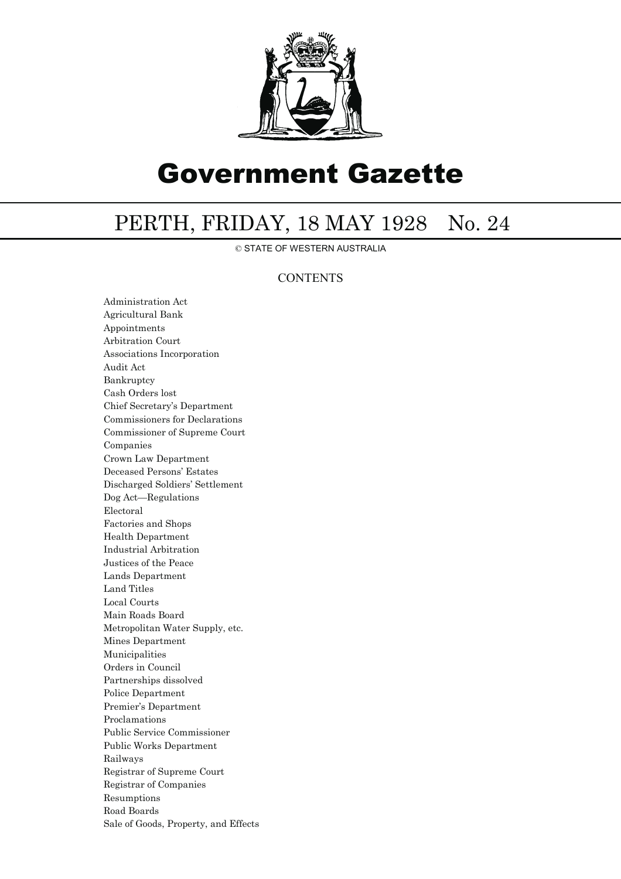

# Government Gazette

## PERTH, FRIDAY, 18 MAY 1928 No. 24

© STATE OF WESTERN AUSTRALIA

### **CONTENTS**

Administration Act Agricultural Bank Appointments Arbitration Court Associations Incorporation Audit Act Bankruptcy Cash Orders lost Chief Secretary's Department Commissioners for Declarations Commissioner of Supreme Court Companies Crown Law Department Deceased Persons' Estates Discharged Soldiers' Settlement Dog Act—Regulations Electoral Factories and Shops Health Department Industrial Arbitration Justices of the Peace Lands Department Land Titles Local Courts Main Roads Board Metropolitan Water Supply, etc. Mines Department Municipalities Orders in Council Partnerships dissolved Police Department Premier's Department Proclamations Public Service Commissioner Public Works Department Railways Registrar of Supreme Court Registrar of Companies Resumptions Road Boards Sale of Goods, Property, and Effects